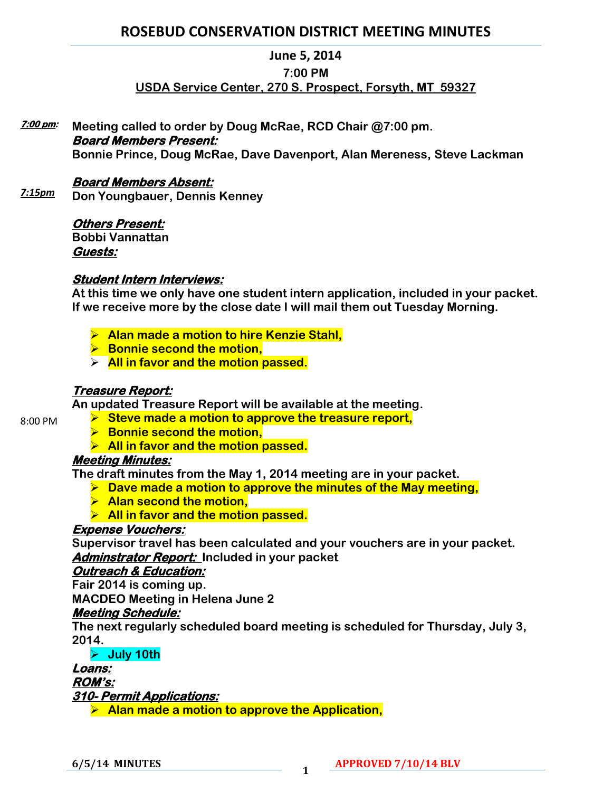# **ROSEBUD CONSERVATION DISTRICT MEETING MINUTES**

#### **June 5, 2014**

#### **7:00 PM**

## **USDA Service Center, 270 S. Prospect, Forsyth, MT 59327**

**Meeting called to order by Doug McRae, RCD Chair @7:00 pm. Board Members Present: Bonnie Prince, Doug McRae, Dave Davenport, Alan Mereness, Steve Lackman 7:00 pm:** 

## **Board Members Absent:**

**Don Youngbauer, Dennis Kenney** *7:15pm*

### **Others Present:**

**Bobbi Vannattan Guests:** 

### **Student Intern Interviews:**

**At this time we only have one student intern application, included in your packet. If we receive more by the close date I will mail them out Tuesday Morning.** 

- **Alan made a motion to hire Kenzie Stahl,**
- **Bonnie second the motion,**
- **All in favor and the motion passed.**

## **Treasure Report:**

**An updated Treasure Report will be available at the meeting.**

- **Steve made a motion to approve the treasure report,** 
	- **Bonnie second the motion,**
	- **All in favor and the motion passed.**

## **Meeting Minutes:**

**The draft minutes from the May 1, 2014 meeting are in your packet.** 

- **Dave made a motion to approve the minutes of the May meeting,**
- **Alan second the motion,**
- **All in favor and the motion passed.**

### **Expense Vouchers:**

**Supervisor travel has been calculated and your vouchers are in your packet. Adminstrator Report: Included in your packet** 

## **Outreach & Education:**

**Fair 2014 is coming up.**

**MACDEO Meeting in Helena June 2**

### **Meeting Schedule:**

**The next regularly scheduled board meeting is scheduled for Thursday, July 3, 2014.** 

**July 10th**

#### **Loans: ROM's:**

**310- Permit Applications:** 

**Alan made a motion to approve the Application,** 

8:00 PM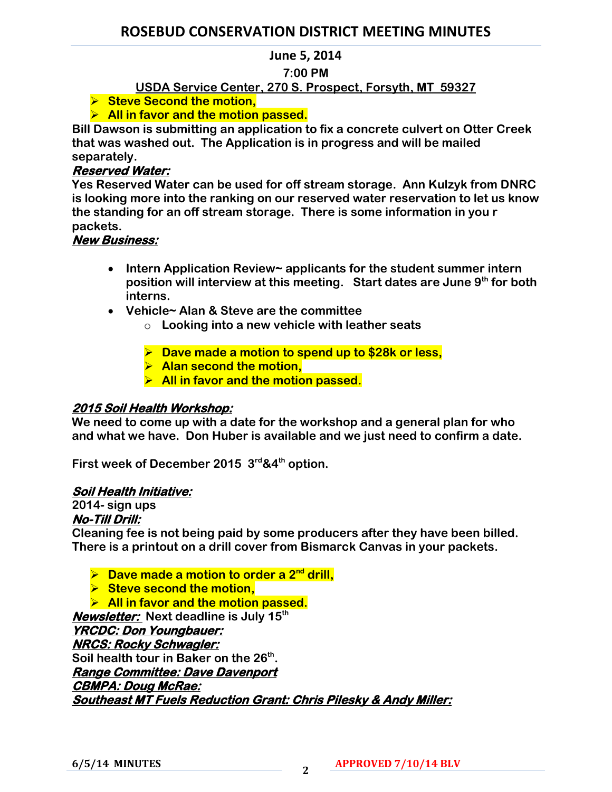# **ROSEBUD CONSERVATION DISTRICT MEETING MINUTES**

### **June 5, 2014**

## **7:00 PM**

## **USDA Service Center, 270 S. Prospect, Forsyth, MT 59327**

**Steve Second the motion,** 

## **All in favor and the motion passed.**

**Bill Dawson is submitting an application to fix a concrete culvert on Otter Creek that was washed out. The Application is in progress and will be mailed separately.** 

## **Reserved Water:**

**Yes Reserved Water can be used for off stream storage. Ann Kulzyk from DNRC is looking more into the ranking on our reserved water reservation to let us know the standing for an off stream storage. There is some information in you r packets.**

## **New Business:**

- **Intern Application Review~ applicants for the student summer intern position will interview at this meeting. Start dates are June 9th for both interns.**
- **Vehicle~ Alan & Steve are the committee**
	- o **Looking into a new vehicle with leather seats**
	- **Dave made a motion to spend up to \$28k or less,**
	- **Alan second the motion,**
	- **All in favor and the motion passed.**

## **2015 Soil Health Workshop:**

**We need to come up with a date for the workshop and a general plan for who and what we have. Don Huber is available and we just need to confirm a date.** 

**First week of December 2015 3rd&4th option.** 

### **Soil Health Initiative:**

## **2014- sign ups**

#### **No-Till Drill:**

**Cleaning fee is not being paid by some producers after they have been billed. There is a printout on a drill cover from Bismarck Canvas in your packets.** 

**▶ Dave made a motion to order a 2<sup>nd</sup> drill,** 

**Steve second the motion.** 

**All in favor and the motion passed.** 

**Newsletter: Next deadline is July 15th**

**YRCDC: Don Youngbauer:** 

**NRCS: Rocky Schwagler: Soil health tour in Baker on the 26th . Range Committee: Dave Davenport CBMPA: Doug McRae: Southeast MT Fuels Reduction Grant: Chris Pilesky & Andy Miller:**